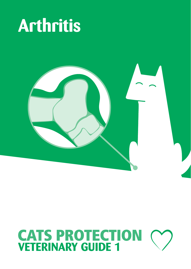



# **CATS PROTECTION**<br>**VETERINARY GUIDE 1**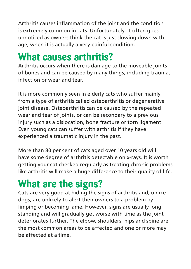Arthritis causes inflammation of the joint and the condition is extremely common in cats. Unfortunately, it often goes unnoticed as owners think the cat is just slowing down with age, when it is actually a very painful condition.

## **What causes arthritis?**

Arthritis occurs when there is damage to the moveable joints of bones and can be caused by many things, including trauma, infection or wear and tear.

It is more commonly seen in elderly cats who suffer mainly from a type of arthritis called osteoarthritis or degenerative joint disease. Osteoarthritis can be caused by the repeated wear and tear of joints, or can be secondary to a previous injury such as a dislocation, bone fracture or torn ligament. Even young cats can suffer with arthritis if they have experienced a traumatic injury in the past.

More than 80 per cent of cats aged over 10 years old will have some degree of arthritis detectable on x-rays. It is worth getting your cat checked regularly as treating chronic problems like arthritis will make a huge difference to their quality of life.

## **What are the signs?**

Cats are very good at hiding the signs of arthritis and, unlike dogs, are unlikely to alert their owners to a problem by limping or becoming lame. However, signs are usually long standing and will gradually get worse with time as the joint deteriorates further. The elbow, shoulders, hips and spine are the most common areas to be affected and one or more may be affected at a time.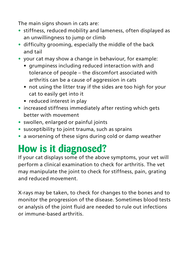The main signs shown in cats are:

- **•** stiffness, reduced mobility and lameness, often displayed as an unwillingness to jump or climb
- **•** difficulty grooming, especially the middle of the back and tail
- **•** your cat may show a change in behaviour, for example:
	- grumpiness including reduced interaction with and tolerance of people – the discomfort associated with arthritis can be a cause of aggression in cats
	- not using the litter tray if the sides are too high for your cat to easily get into it
	- reduced interest in play
- **•** increased stiffness immediately after resting which gets better with movement
- **•** swollen, enlarged or painful joints
- **•** susceptibility to joint trauma, such as sprains
- **•** a worsening of these signs during cold or damp weather

## **How is it diagnosed?**

If your cat displays some of the above symptoms, your vet will perform a clinical examination to check for arthritis. The vet may manipulate the joint to check for stiffness, pain, grating and reduced movement.

X-rays may be taken, to check for changes to the bones and to monitor the progression of the disease. Sometimes blood tests or analysis of the joint fluid are needed to rule out infections or immune-based arthritis.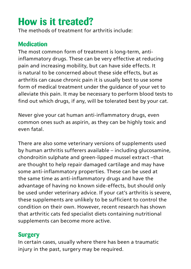## **How is it treated?**

The methods of treatment for arthritis include:

#### **Medication**

The most common form of treatment is long-term, antiinflammatory drugs. These can be very effective at reducing pain and increasing mobility, but can have side effects. It is natural to be concerned about these side effects, but as arthritis can cause chronic pain it is usually best to use some form of medical treatment under the guidance of your vet to alleviate this pain. It may be necessary to perform blood tests to find out which drugs, if any, will be tolerated best by your cat.

Never give your cat human anti-inflammatory drugs, even common ones such as aspirin, as they can be highly toxic and even fatal.

There are also some veterinary versions of supplements used by human arthritis sufferers available – including glucosamine, chondroitin sulphate and green-lipped mussel extract –that are thought to help repair damaged cartilage and may have some anti-inflammatory properties. These can be used at the same time as anti-inflammatory drugs and have the advantage of having no known side-effects, but should only be used under veterinary advice. If your cat's arthritis is severe, these supplements are unlikely to be sufficient to control the condition on their own. However, recent research has shown that arthritic cats fed specialist diets containing nutritional supplements can become more active.

#### **Surgery**

In certain cases, usually where there has been a traumatic injury in the past, surgery may be required.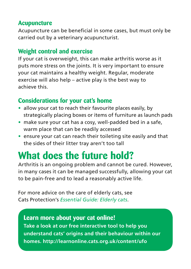#### **Acupuncture**

Acupuncture can be beneficial in some cases, but must only be carried out by a veterinary acupuncturist.

#### **Weight control and exercise**

If your cat is overweight, this can make arthritis worse as it puts more stress on the joints. It is very important to ensure your cat maintains a healthy weight. Regular, moderate exercise will also help – active play is the best way to achieve this.

#### **Considerations for your cat's home**

- **•** allow your cat to reach their favourite places easily, by strategically placing boxes or items of furniture as launch pads
- **•** make sure your cat has a cosy, well-padded bed in a safe, warm place that can be readily accessed
- **•** ensure your cat can reach their toileting site easily and that the sides of their litter tray aren't too tall

## **What does the future hold?**

Arthritis is an ongoing problem and cannot be cured. However, in many cases it can be managed successfully, allowing your cat to be pain-free and to lead a reasonably active life.

For more advice on the care of elderly cats, see Cats Protection's *Essential Guide: Elderly cats*.

#### **Learn more about your cat online! Take a look at our free interactive tool to help you understand cats' origins and their behaviour within our homes. http://learnonline.cats.org.uk/content/ufo**